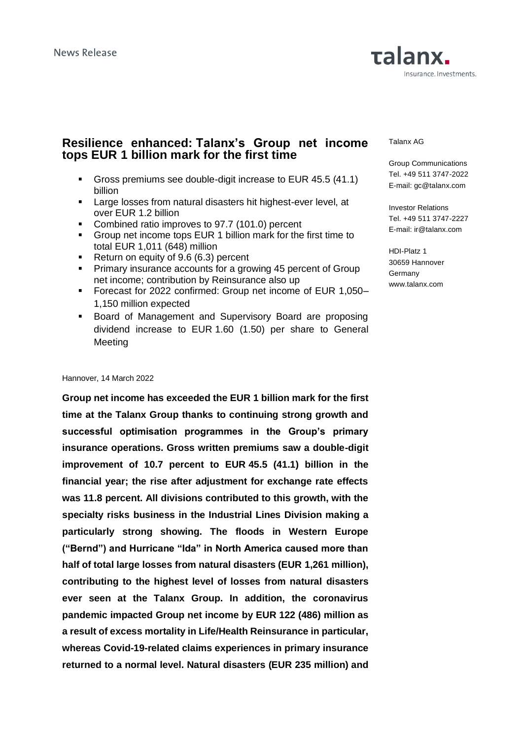## **Resilience enhanced: Talanx's Group net income tops EUR 1 billion mark for the first time**

- Gross premiums see double-digit increase to EUR 45.5 (41.1) billion
- Large losses from natural disasters hit highest-ever level, at over EUR 1.2 billion
- Combined ratio improves to 97.7 (101.0) percent
- Group net income tops EUR 1 billion mark for the first time to total EUR 1,011 (648) million
- Return on equity of 9.6 (6.3) percent
- **•** Primary insurance accounts for a growing 45 percent of Group net income; contribution by Reinsurance also up
- Forecast for 2022 confirmed: Group net income of EUR 1,050– 1,150 million expected
- Board of Management and Supervisory Board are proposing dividend increase to EUR 1.60 (1.50) per share to General Meeting

#### Hannover, 14 March 2022

**Group net income has exceeded the EUR 1 billion mark for the first time at the Talanx Group thanks to continuing strong growth and successful optimisation programmes in the Group's primary insurance operations. Gross written premiums saw a double-digit improvement of 10.7 percent to EUR 45.5 (41.1) billion in the financial year; the rise after adjustment for exchange rate effects was 11.8 percent. All divisions contributed to this growth, with the specialty risks business in the Industrial Lines Division making a particularly strong showing. The floods in Western Europe ("Bernd") and Hurricane "Ida" in North America caused more than half of total large losses from natural disasters (EUR 1,261 million), contributing to the highest level of losses from natural disasters ever seen at the Talanx Group. In addition, the coronavirus pandemic impacted Group net income by EUR 122 (486) million as a result of excess mortality in Life/Health Reinsurance in particular, whereas Covid-19-related claims experiences in primary insurance returned to a normal level. Natural disasters (EUR 235 million) and** 

### Talanx AG

Group Communications Tel. +49 511 3747-2022 E-mail: gc@talanx.com

Investor Relations Tel. +49 511 3747-2227 E-mail: ir@talanx.com

HDI-Platz 1 30659 Hannover Germany www.talanx.com

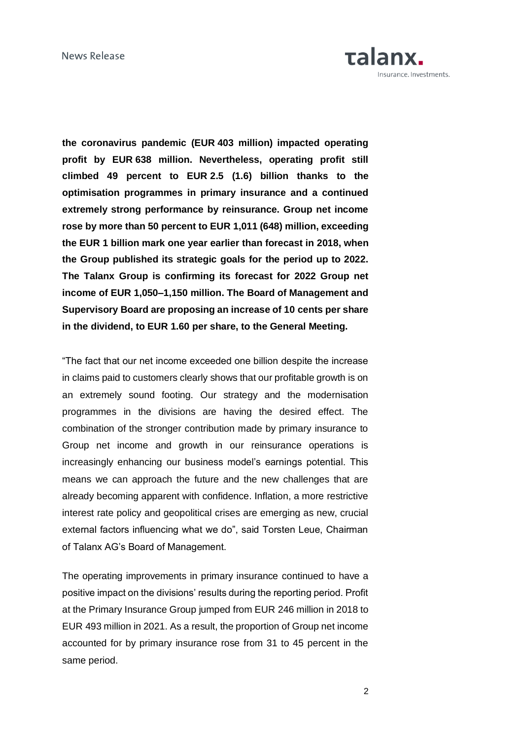

**the coronavirus pandemic (EUR 403 million) impacted operating profit by EUR 638 million. Nevertheless, operating profit still climbed 49 percent to EUR 2.5 (1.6) billion thanks to the optimisation programmes in primary insurance and a continued extremely strong performance by reinsurance. Group net income rose by more than 50 percent to EUR 1,011 (648) million, exceeding the EUR 1 billion mark one year earlier than forecast in 2018, when the Group published its strategic goals for the period up to 2022. The Talanx Group is confirming its forecast for 2022 Group net income of EUR 1,050–1,150 million. The Board of Management and Supervisory Board are proposing an increase of 10 cents per share in the dividend, to EUR 1.60 per share, to the General Meeting.** 

"The fact that our net income exceeded one billion despite the increase in claims paid to customers clearly shows that our profitable growth is on an extremely sound footing. Our strategy and the modernisation programmes in the divisions are having the desired effect. The combination of the stronger contribution made by primary insurance to Group net income and growth in our reinsurance operations is increasingly enhancing our business model's earnings potential. This means we can approach the future and the new challenges that are already becoming apparent with confidence. Inflation, a more restrictive interest rate policy and geopolitical crises are emerging as new, crucial external factors influencing what we do", said Torsten Leue, Chairman of Talanx AG's Board of Management.

The operating improvements in primary insurance continued to have a positive impact on the divisions' results during the reporting period. Profit at the Primary Insurance Group jumped from EUR 246 million in 2018 to EUR 493 million in 2021. As a result, the proportion of Group net income accounted for by primary insurance rose from 31 to 45 percent in the same period.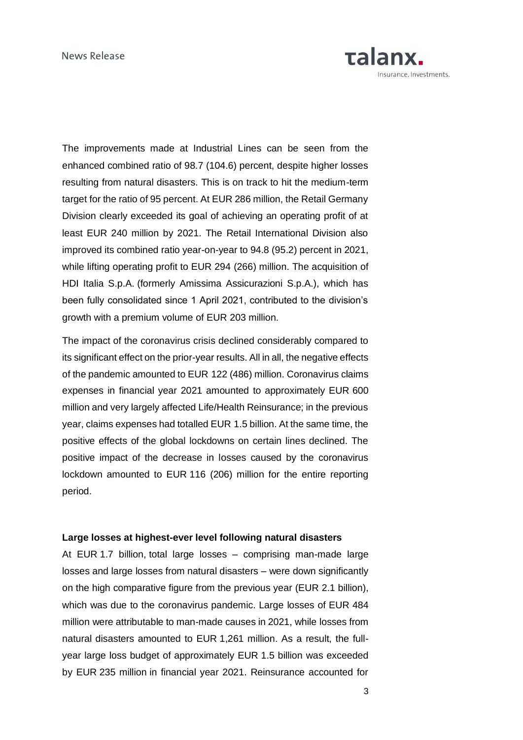

The improvements made at Industrial Lines can be seen from the enhanced combined ratio of 98.7 (104.6) percent, despite higher losses resulting from natural disasters. This is on track to hit the medium-term target for the ratio of 95 percent. At EUR 286 million, the Retail Germany Division clearly exceeded its goal of achieving an operating profit of at least EUR 240 million by 2021. The Retail International Division also improved its combined ratio year-on-year to 94.8 (95.2) percent in 2021, while lifting operating profit to EUR 294 (266) million. The acquisition of HDI Italia S.p.A. (formerly Amissima Assicurazioni S.p.A.), which has been fully consolidated since 1 April 2021, contributed to the division's growth with a premium volume of EUR 203 million.

The impact of the coronavirus crisis declined considerably compared to its significant effect on the prior-year results. All in all, the negative effects of the pandemic amounted to EUR 122 (486) million. Coronavirus claims expenses in financial year 2021 amounted to approximately EUR 600 million and very largely affected Life/Health Reinsurance; in the previous year, claims expenses had totalled EUR 1.5 billion. At the same time, the positive effects of the global lockdowns on certain lines declined. The positive impact of the decrease in losses caused by the coronavirus lockdown amounted to EUR 116 (206) million for the entire reporting period.

### **Large losses at highest-ever level following natural disasters**

At EUR 1.7 billion, total large losses – comprising man-made large losses and large losses from natural disasters – were down significantly on the high comparative figure from the previous year (EUR 2.1 billion), which was due to the coronavirus pandemic. Large losses of EUR 484 million were attributable to man-made causes in 2021, while losses from natural disasters amounted to EUR 1,261 million. As a result, the fullyear large loss budget of approximately EUR 1.5 billion was exceeded by EUR 235 million in financial year 2021. Reinsurance accounted for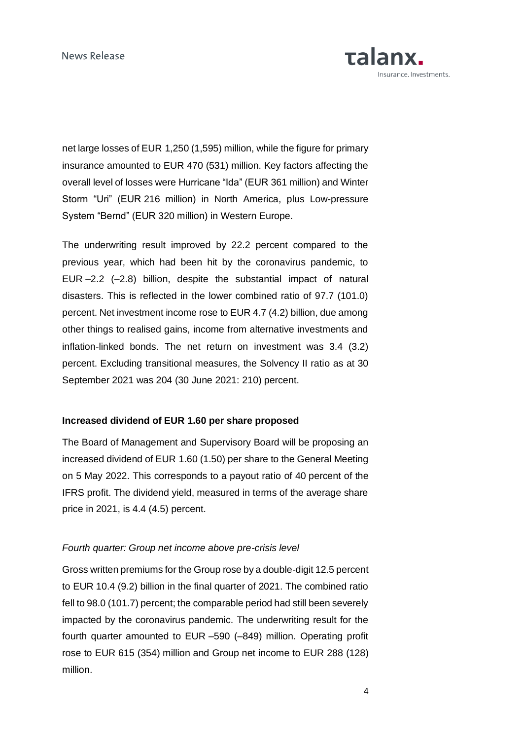

net large losses of EUR 1,250 (1,595) million, while the figure for primary insurance amounted to EUR 470 (531) million. Key factors affecting the overall level of losses were Hurricane "Ida" (EUR 361 million) and Winter Storm "Uri" (EUR 216 million) in North America, plus Low-pressure System "Bernd" (EUR 320 million) in Western Europe.

The underwriting result improved by 22.2 percent compared to the previous year, which had been hit by the coronavirus pandemic, to EUR –2.2 (–2.8) billion, despite the substantial impact of natural disasters. This is reflected in the lower combined ratio of 97.7 (101.0) percent. Net investment income rose to EUR 4.7 (4.2) billion, due among other things to realised gains, income from alternative investments and inflation-linked bonds. The net return on investment was 3.4 (3.2) percent. Excluding transitional measures, the Solvency II ratio as at 30 September 2021 was 204 (30 June 2021: 210) percent.

### **Increased dividend of EUR 1.60 per share proposed**

The Board of Management and Supervisory Board will be proposing an increased dividend of EUR 1.60 (1.50) per share to the General Meeting on 5 May 2022. This corresponds to a payout ratio of 40 percent of the IFRS profit. The dividend yield, measured in terms of the average share price in 2021, is 4.4 (4.5) percent.

## *Fourth quarter: Group net income above pre-crisis level*

Gross written premiums for the Group rose by a double-digit 12.5 percent to EUR 10.4 (9.2) billion in the final quarter of 2021. The combined ratio fell to 98.0 (101.7) percent; the comparable period had still been severely impacted by the coronavirus pandemic. The underwriting result for the fourth quarter amounted to EUR –590 (–849) million. Operating profit rose to EUR 615 (354) million and Group net income to EUR 288 (128) million.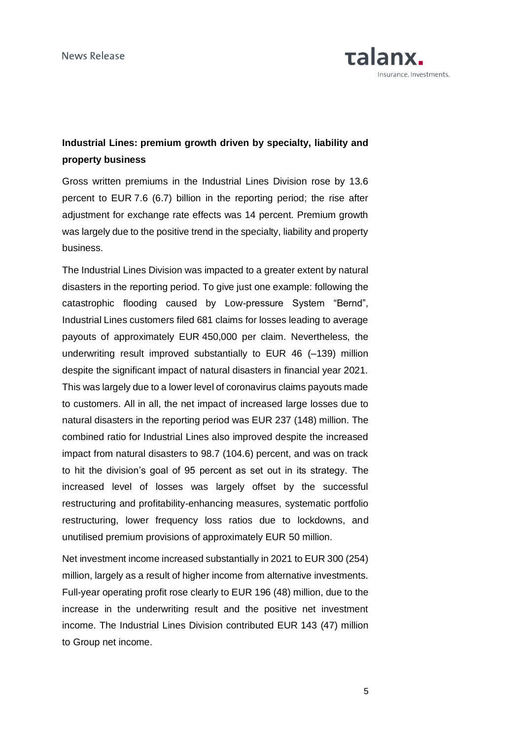

# **Industrial Lines: premium growth driven by specialty, liability and property business**

Gross written premiums in the Industrial Lines Division rose by 13.6 percent to EUR 7.6 (6.7) billion in the reporting period; the rise after adjustment for exchange rate effects was 14 percent. Premium growth was largely due to the positive trend in the specialty, liability and property business.

The Industrial Lines Division was impacted to a greater extent by natural disasters in the reporting period. To give just one example: following the catastrophic flooding caused by Low-pressure System "Bernd", Industrial Lines customers filed 681 claims for losses leading to average payouts of approximately EUR 450,000 per claim. Nevertheless, the underwriting result improved substantially to EUR 46 (–139) million despite the significant impact of natural disasters in financial year 2021. This was largely due to a lower level of coronavirus claims payouts made to customers. All in all, the net impact of increased large losses due to natural disasters in the reporting period was EUR 237 (148) million. The combined ratio for Industrial Lines also improved despite the increased impact from natural disasters to 98.7 (104.6) percent, and was on track to hit the division's goal of 95 percent as set out in its strategy. The increased level of losses was largely offset by the successful restructuring and profitability-enhancing measures, systematic portfolio restructuring, lower frequency loss ratios due to lockdowns, and unutilised premium provisions of approximately EUR 50 million.

Net investment income increased substantially in 2021 to EUR 300 (254) million, largely as a result of higher income from alternative investments. Full-year operating profit rose clearly to EUR 196 (48) million, due to the increase in the underwriting result and the positive net investment income. The Industrial Lines Division contributed EUR 143 (47) million to Group net income.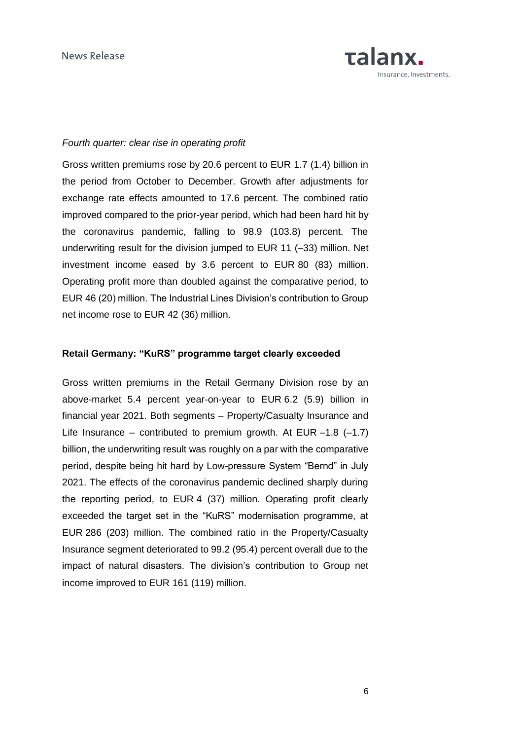

### *Fourth quarter: clear rise in operating profit*

Gross written premiums rose by 20.6 percent to EUR 1.7 (1.4) billion in the period from October to December. Growth after adjustments for exchange rate effects amounted to 17.6 percent. The combined ratio improved compared to the prior-year period, which had been hard hit by the coronavirus pandemic, falling to 98.9 (103.8) percent. The underwriting result for the division jumped to EUR 11 (–33) million. Net investment income eased by 3.6 percent to EUR 80 (83) million. Operating profit more than doubled against the comparative period, to EUR 46 (20) million. The Industrial Lines Division's contribution to Group net income rose to EUR 42 (36) million.

### **Retail Germany: "KuRS" programme target clearly exceeded**

Gross written premiums in the Retail Germany Division rose by an above-market 5.4 percent year-on-year to EUR 6.2 (5.9) billion in financial year 2021. Both segments – Property/Casualty Insurance and Life Insurance – contributed to premium growth. At EUR  $-1.8$  (-1.7) billion, the underwriting result was roughly on a par with the comparative period, despite being hit hard by Low-pressure System "Bernd" in July 2021. The effects of the coronavirus pandemic declined sharply during the reporting period, to EUR 4 (37) million. Operating profit clearly exceeded the target set in the "KuRS" modernisation programme, at EUR 286 (203) million. The combined ratio in the Property/Casualty Insurance segment deteriorated to 99.2 (95.4) percent overall due to the impact of natural disasters. The division's contribution to Group net income improved to EUR 161 (119) million.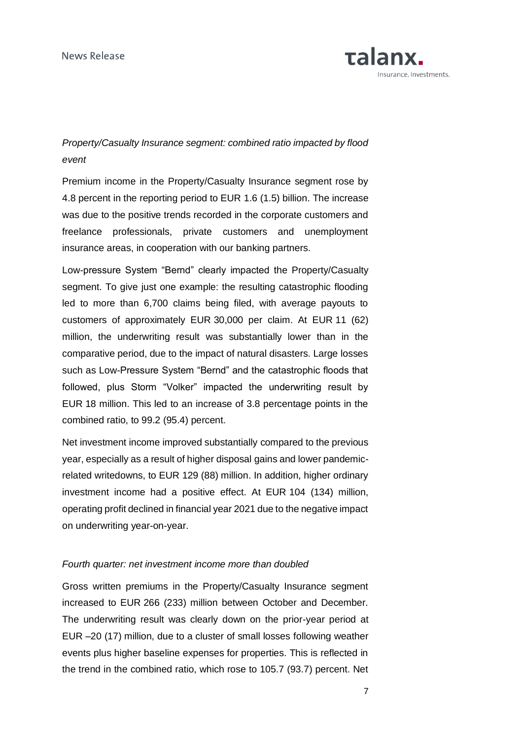

# *Property/Casualty Insurance segment: combined ratio impacted by flood event*

Premium income in the Property/Casualty Insurance segment rose by 4.8 percent in the reporting period to EUR 1.6 (1.5) billion. The increase was due to the positive trends recorded in the corporate customers and freelance professionals, private customers and unemployment insurance areas, in cooperation with our banking partners.

Low-pressure System "Bernd" clearly impacted the Property/Casualty segment. To give just one example: the resulting catastrophic flooding led to more than 6,700 claims being filed, with average payouts to customers of approximately EUR 30,000 per claim. At EUR 11 (62) million, the underwriting result was substantially lower than in the comparative period, due to the impact of natural disasters. Large losses such as Low-Pressure System "Bernd" and the catastrophic floods that followed, plus Storm "Volker" impacted the underwriting result by EUR 18 million. This led to an increase of 3.8 percentage points in the combined ratio, to 99.2 (95.4) percent.

Net investment income improved substantially compared to the previous year, especially as a result of higher disposal gains and lower pandemicrelated writedowns, to EUR 129 (88) million. In addition, higher ordinary investment income had a positive effect. At EUR 104 (134) million, operating profit declined in financial year 2021 due to the negative impact on underwriting year-on-year.

### *Fourth quarter: net investment income more than doubled*

Gross written premiums in the Property/Casualty Insurance segment increased to EUR 266 (233) million between October and December. The underwriting result was clearly down on the prior-year period at EUR –20 (17) million, due to a cluster of small losses following weather events plus higher baseline expenses for properties. This is reflected in the trend in the combined ratio, which rose to 105.7 (93.7) percent. Net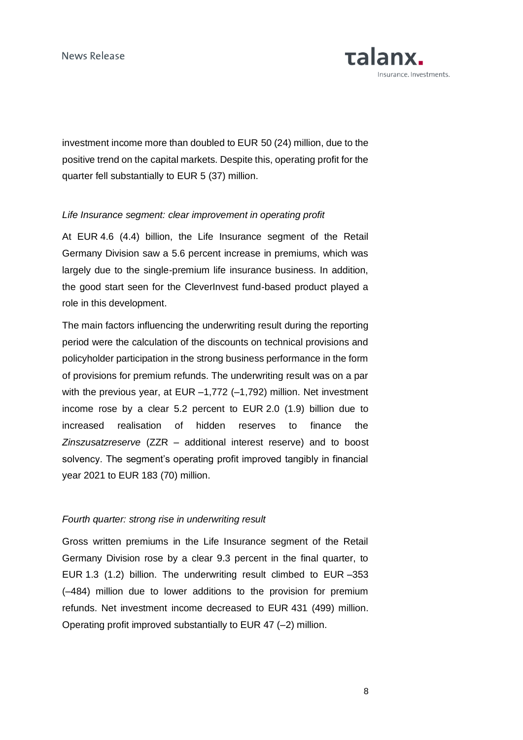

investment income more than doubled to EUR 50 (24) million, due to the positive trend on the capital markets. Despite this, operating profit for the quarter fell substantially to EUR 5 (37) million.

## *Life Insurance segment: clear improvement in operating profit*

At EUR 4.6 (4.4) billion, the Life Insurance segment of the Retail Germany Division saw a 5.6 percent increase in premiums, which was largely due to the single-premium life insurance business. In addition, the good start seen for the CleverInvest fund-based product played a role in this development.

The main factors influencing the underwriting result during the reporting period were the calculation of the discounts on technical provisions and policyholder participation in the strong business performance in the form of provisions for premium refunds. The underwriting result was on a par with the previous year, at EUR -1,772 (-1,792) million. Net investment income rose by a clear 5.2 percent to EUR 2.0 (1.9) billion due to increased realisation of hidden reserves to finance the *Zinszusatzreserve* (ZZR – additional interest reserve) and to boost solvency. The segment's operating profit improved tangibly in financial year 2021 to EUR 183 (70) million.

### *Fourth quarter: strong rise in underwriting result*

Gross written premiums in the Life Insurance segment of the Retail Germany Division rose by a clear 9.3 percent in the final quarter, to EUR 1.3 (1.2) billion. The underwriting result climbed to EUR –353 (–484) million due to lower additions to the provision for premium refunds. Net investment income decreased to EUR 431 (499) million. Operating profit improved substantially to EUR 47 (–2) million.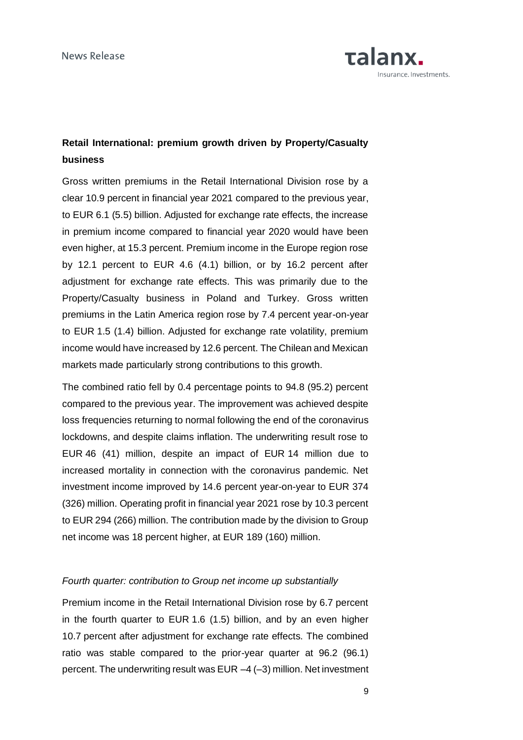

# **Retail International: premium growth driven by Property/Casualty business**

Gross written premiums in the Retail International Division rose by a clear 10.9 percent in financial year 2021 compared to the previous year, to EUR 6.1 (5.5) billion. Adjusted for exchange rate effects, the increase in premium income compared to financial year 2020 would have been even higher, at 15.3 percent. Premium income in the Europe region rose by 12.1 percent to EUR 4.6 (4.1) billion, or by 16.2 percent after adjustment for exchange rate effects. This was primarily due to the Property/Casualty business in Poland and Turkey. Gross written premiums in the Latin America region rose by 7.4 percent year-on-year to EUR 1.5 (1.4) billion. Adjusted for exchange rate volatility, premium income would have increased by 12.6 percent. The Chilean and Mexican markets made particularly strong contributions to this growth.

The combined ratio fell by 0.4 percentage points to 94.8 (95.2) percent compared to the previous year. The improvement was achieved despite loss frequencies returning to normal following the end of the coronavirus lockdowns, and despite claims inflation. The underwriting result rose to EUR 46 (41) million, despite an impact of EUR 14 million due to increased mortality in connection with the coronavirus pandemic. Net investment income improved by 14.6 percent year-on-year to EUR 374 (326) million. Operating profit in financial year 2021 rose by 10.3 percent to EUR 294 (266) million. The contribution made by the division to Group net income was 18 percent higher, at EUR 189 (160) million.

## *Fourth quarter: contribution to Group net income up substantially*

Premium income in the Retail International Division rose by 6.7 percent in the fourth quarter to EUR 1.6 (1.5) billion, and by an even higher 10.7 percent after adjustment for exchange rate effects. The combined ratio was stable compared to the prior-year quarter at 96.2 (96.1) percent. The underwriting result was EUR –4 (–3) million. Net investment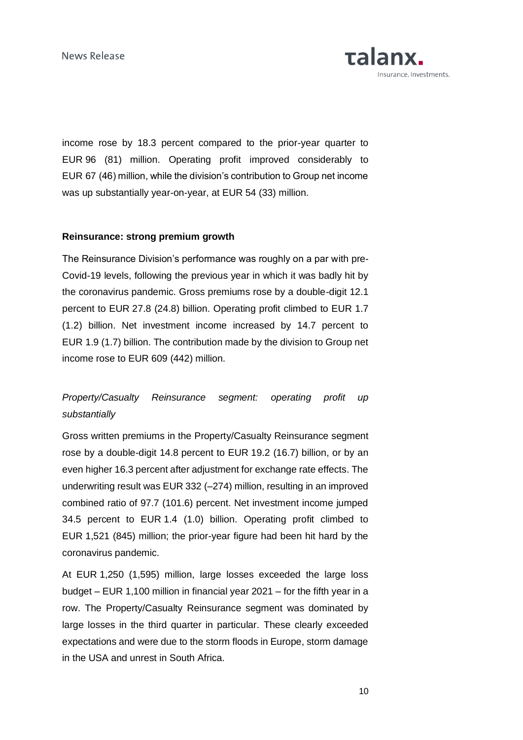

income rose by 18.3 percent compared to the prior-year quarter to EUR 96 (81) million. Operating profit improved considerably to EUR 67 (46) million, while the division's contribution to Group net income was up substantially year-on-year, at EUR 54 (33) million.

## **Reinsurance: strong premium growth**

The Reinsurance Division's performance was roughly on a par with pre-Covid-19 levels, following the previous year in which it was badly hit by the coronavirus pandemic. Gross premiums rose by a double-digit 12.1 percent to EUR 27.8 (24.8) billion. Operating profit climbed to EUR 1.7 (1.2) billion. Net investment income increased by 14.7 percent to EUR 1.9 (1.7) billion. The contribution made by the division to Group net income rose to EUR 609 (442) million.

# *Property/Casualty Reinsurance segment: operating profit up substantially*

Gross written premiums in the Property/Casualty Reinsurance segment rose by a double-digit 14.8 percent to EUR 19.2 (16.7) billion, or by an even higher 16.3 percent after adjustment for exchange rate effects. The underwriting result was EUR 332 (–274) million, resulting in an improved combined ratio of 97.7 (101.6) percent. Net investment income jumped 34.5 percent to EUR 1.4 (1.0) billion. Operating profit climbed to EUR 1,521 (845) million; the prior-year figure had been hit hard by the coronavirus pandemic.

At EUR 1,250 (1,595) million, large losses exceeded the large loss budget – EUR 1,100 million in financial year 2021 – for the fifth year in a row. The Property/Casualty Reinsurance segment was dominated by large losses in the third quarter in particular. These clearly exceeded expectations and were due to the storm floods in Europe, storm damage in the USA and unrest in South Africa.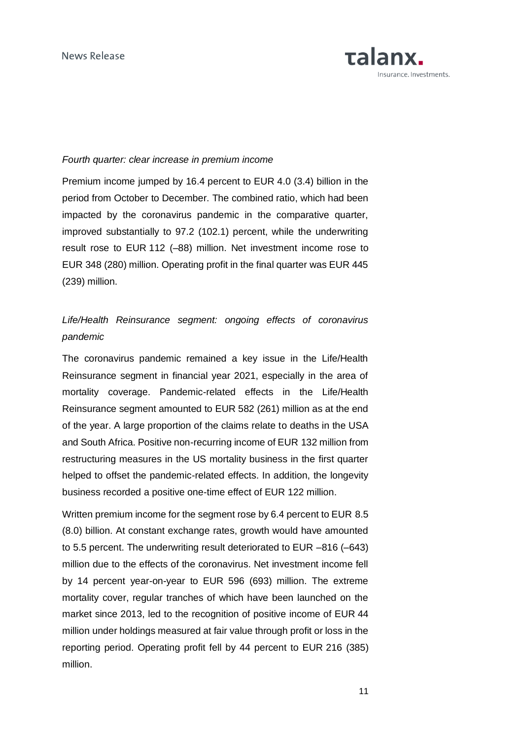

### *Fourth quarter: clear increase in premium income*

Premium income jumped by 16.4 percent to EUR 4.0 (3.4) billion in the period from October to December. The combined ratio, which had been impacted by the coronavirus pandemic in the comparative quarter, improved substantially to 97.2 (102.1) percent, while the underwriting result rose to EUR 112 (–88) million. Net investment income rose to EUR 348 (280) million. Operating profit in the final quarter was EUR 445 (239) million.

## *Life/Health Reinsurance segment: ongoing effects of coronavirus pandemic*

The coronavirus pandemic remained a key issue in the Life/Health Reinsurance segment in financial year 2021, especially in the area of mortality coverage. Pandemic-related effects in the Life/Health Reinsurance segment amounted to EUR 582 (261) million as at the end of the year. A large proportion of the claims relate to deaths in the USA and South Africa. Positive non-recurring income of EUR 132 million from restructuring measures in the US mortality business in the first quarter helped to offset the pandemic-related effects. In addition, the longevity business recorded a positive one-time effect of EUR 122 million.

Written premium income for the segment rose by 6.4 percent to EUR 8.5 (8.0) billion. At constant exchange rates, growth would have amounted to 5.5 percent. The underwriting result deteriorated to EUR –816 (–643) million due to the effects of the coronavirus. Net investment income fell by 14 percent year-on-year to EUR 596 (693) million. The extreme mortality cover, regular tranches of which have been launched on the market since 2013, led to the recognition of positive income of EUR 44 million under holdings measured at fair value through profit or loss in the reporting period. Operating profit fell by 44 percent to EUR 216 (385) million.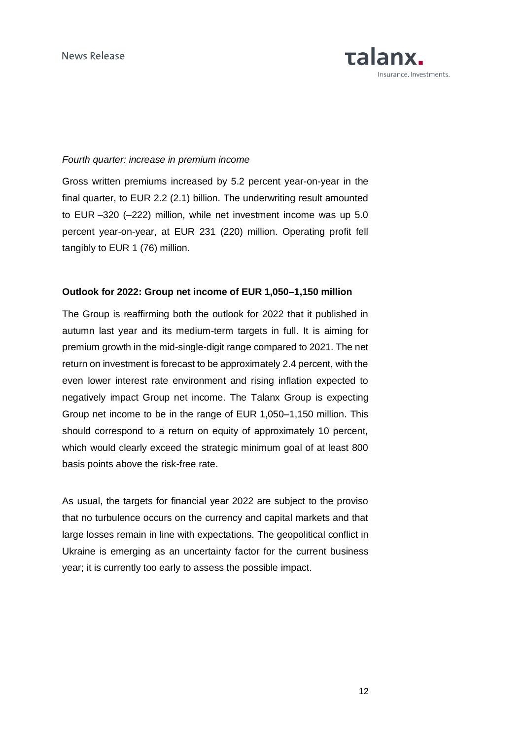

### *Fourth quarter: increase in premium income*

Gross written premiums increased by 5.2 percent year-on-year in the final quarter, to EUR 2.2 (2.1) billion. The underwriting result amounted to EUR –320 (–222) million, while net investment income was up 5.0 percent year-on-year, at EUR 231 (220) million. Operating profit fell tangibly to EUR 1 (76) million.

### **Outlook for 2022: Group net income of EUR 1,050–1,150 million**

The Group is reaffirming both the outlook for 2022 that it published in autumn last year and its medium-term targets in full. It is aiming for premium growth in the mid-single-digit range compared to 2021. The net return on investment is forecast to be approximately 2.4 percent, with the even lower interest rate environment and rising inflation expected to negatively impact Group net income. The Talanx Group is expecting Group net income to be in the range of EUR 1,050–1,150 million. This should correspond to a return on equity of approximately 10 percent, which would clearly exceed the strategic minimum goal of at least 800 basis points above the risk-free rate.

As usual, the targets for financial year 2022 are subject to the proviso that no turbulence occurs on the currency and capital markets and that large losses remain in line with expectations. The geopolitical conflict in Ukraine is emerging as an uncertainty factor for the current business year; it is currently too early to assess the possible impact.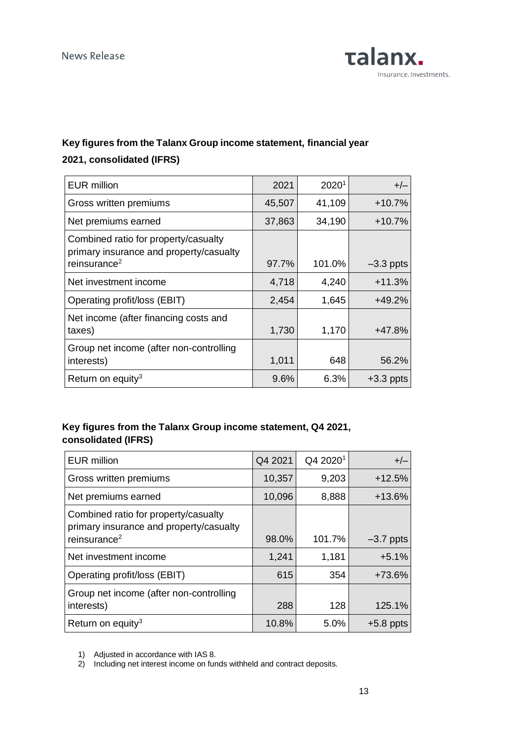

# **Key figures from the Talanx Group income statement, financial year 2021, consolidated (IFRS)**

| <b>EUR million</b>                                                                                          | 2021   | 2020 <sup>1</sup> | $+/-$       |
|-------------------------------------------------------------------------------------------------------------|--------|-------------------|-------------|
| Gross written premiums                                                                                      | 45,507 | 41,109            | $+10.7%$    |
| Net premiums earned                                                                                         | 37,863 | 34,190            | $+10.7%$    |
| Combined ratio for property/casualty<br>primary insurance and property/casualty<br>reinsurance <sup>2</sup> | 97.7%  | 101.0%            | $-3.3$ ppts |
| Net investment income                                                                                       | 4,718  | 4,240             | $+11.3%$    |
| Operating profit/loss (EBIT)                                                                                | 2,454  | 1,645             | $+49.2%$    |
| Net income (after financing costs and<br>taxes)                                                             | 1,730  | 1,170             | $+47.8%$    |
| Group net income (after non-controlling<br>interests)                                                       | 1,011  | 648               | 56.2%       |
| Return on equity <sup>3</sup>                                                                               | 9.6%   | 6.3%              | $+3.3$ ppts |

## **Key figures from the Talanx Group income statement, Q4 2021, consolidated (IFRS)**

| <b>EUR million</b>                                                                                          | Q4 2021 | Q4 2020 <sup>1</sup> | $+/-$       |
|-------------------------------------------------------------------------------------------------------------|---------|----------------------|-------------|
| Gross written premiums                                                                                      | 10,357  | 9,203                | $+12.5%$    |
| Net premiums earned                                                                                         | 10,096  | 8,888                | $+13.6%$    |
| Combined ratio for property/casualty<br>primary insurance and property/casualty<br>reinsurance <sup>2</sup> | 98.0%   | 101.7%               | $-3.7$ ppts |
| Net investment income                                                                                       | 1,241   | 1,181                | $+5.1%$     |
| Operating profit/loss (EBIT)                                                                                | 615     | 354                  | +73.6%      |
| Group net income (after non-controlling<br>interests)                                                       | 288     | 128                  | 125.1%      |
| Return on equity <sup>3</sup>                                                                               | 10.8%   | 5.0%                 | $+5.8$ ppts |

<sup>1)</sup> Adjusted in accordance with IAS 8.

2) Including net interest income on funds withheld and contract deposits.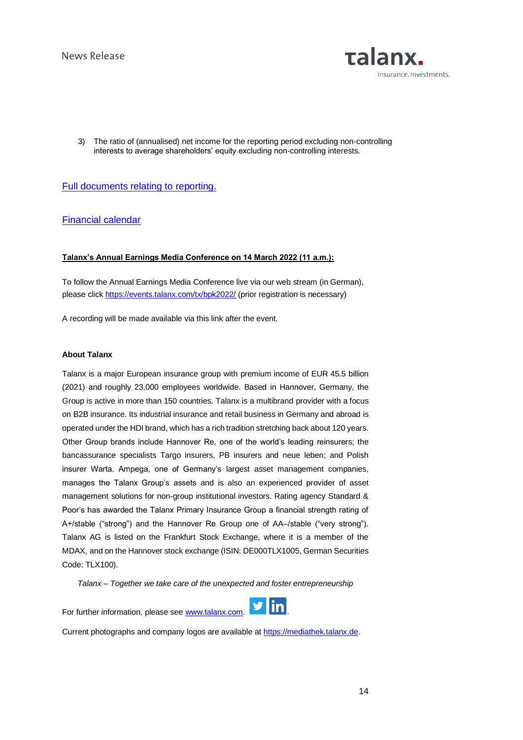

3) The ratio of (annualised) net income for the reporting period excluding non-controlling interests to average shareholders' equity excluding non-controlling interests.

### [Full documents relating to reporting.](https://www.talanx.com/en/investor_relations/reporting/reporting)

### [Financial calendar](https://www.talanx.com/en/investor_relations/agm_-_events/financial_calendar?year=2022)

### **Talanx's Annual Earnings Media Conference on 14 March 2022 (11 a.m.):**

To follow the Annual Earnings Media Conference live via our web stream (in German), please click<https://events.talanx.com/tx/bpk2022/> (prior registration is necessary)

A recording will be made available via this link after the event.

#### **About Talanx**

Talanx is a major European insurance group with premium income of EUR 45.5 billion (2021) and roughly 23,000 employees worldwide. Based in Hannover, Germany, the Group is active in more than 150 countries. Talanx is a multibrand provider with a focus on B2B insurance. Its industrial insurance and retail business in Germany and abroad is operated under the HDI brand, which has a rich tradition stretching back about 120 years. Other Group brands include Hannover Re, one of the world's leading reinsurers; the bancassurance specialists Targo insurers, PB insurers and neue leben; and Polish insurer Warta. Ampega, one of Germany's largest asset management companies, manages the Talanx Group's assets and is also an experienced provider of asset management solutions for non-group institutional investors. Rating agency Standard & Poor's has awarded the Talanx Primary Insurance Group a financial strength rating of A+/stable ("strong") and the Hannover Re Group one of AA–/stable ("very strong"). Talanx AG is listed on the Frankfurt Stock Exchange, where it is a member of the MDAX, and on the Hannover stock exchange (ISIN: DE000TLX1005, German Securities Code: TLX100).

*Talanx – Together we take care of the unexpected and foster entrepreneurship*

For further information, please see [www.talanx.com.](http://www.talanx.com/) 



Current photographs and company logos are available at [https://mediathek.talanx.de.](https://mediathek.talanx.de/)